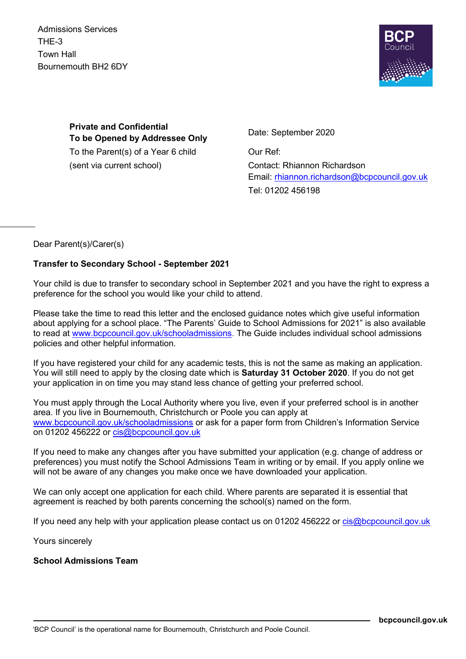Admissions Services THE-3 Town Hall Bournemouth BH2 6DY



**Private and Confidential To be Opened by Addressee Only** Date: September 2020 To the Parent(s) of a Year 6 child Cur Ref: (sent via current school) Contact: Rhiannon Richardson

Email: [rhiannon.richardson@bcpcouncil.gov.uk](mailto:rhiannon.richardson@bcpcouncil.gov.uk) Tel: 01202 456198

Dear Parent(s)/Carer(s)

### **Transfer to Secondary School - September 2021**

Your child is due to transfer to secondary school in September 2021 and you have the right to express a preference for the school you would like your child to attend.

Please take the time to read this letter and the enclosed guidance notes which give useful information about applying for a school place. "The Parents' Guide to School Admissions for 2021" is also available to read at [www.bcpcouncil.gov.uk/schooladmissions.](http://www.bcpcouncil.gov.uk/schooladmissions) The Guide includes individual school admissions policies and other helpful information.

If you have registered your child for any academic tests, this is not the same as making an application. You will still need to apply by the closing date which is **Saturday 31 October 2020**. If you do not get your application in on time you may stand less chance of getting your preferred school.

You must apply through the Local Authority where you live, even if your preferred school is in another area. If you live in Bournemouth, Christchurch or Poole you can apply at [www.bcpcouncil.gov.uk/schooladmissions](http://www.bcpcouncil.gov.uk/schooladmissions) or ask for a paper form from Children's Information Service on 01202 456222 or [cis@bcpcouncil.gov.uk](mailto:cis@bcpcouncil.gov.uk)

If you need to make any changes after you have submitted your application (e.g. change of address or preferences) you must notify the School Admissions Team in writing or by email. If you apply online we will not be aware of any changes you make once we have downloaded your application.

We can only accept one application for each child. Where parents are separated it is essential that agreement is reached by both parents concerning the school(s) named on the form.

If you need any help with your application please contact us on 01202 456222 or [cis@bcpcouncil.gov.uk](mailto:cis@bcpcouncil.gov.uk)

Yours sincerely

#### **School Admissions Team**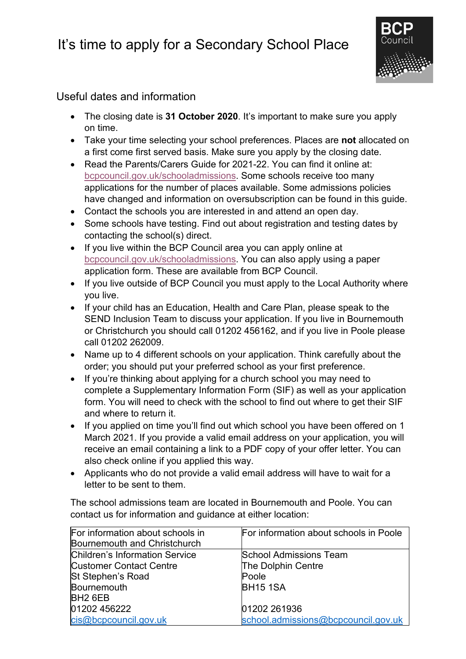## It's time to apply for a Secondary School Place



## Useful dates and information

- The closing date is **31 October 2020**. It's important to make sure you apply on time.
- Take your time selecting your school preferences. Places are **not** allocated on a first come first served basis. Make sure you apply by the closing date.
- Read the Parents/Carers Guide for 2021-22. You can find it online at: [bcpcouncil.gov.uk/schooladmissions.](http://www.bcpcouncil.gov.uk/schooladmissions) Some schools receive too many applications for the number of places available. Some admissions policies have changed and information on oversubscription can be found in this guide.
- Contact the schools you are interested in and attend an open day.
- Some schools have testing. Find out about registration and testing dates by contacting the school(s) direct.
- If you live within the BCP Council area you can apply online at [bcpcouncil.gov.uk/schooladmissions.](https://www.bcpcouncil.gov.uk/schooladmissions) You can also apply using a paper application form. These are available from BCP Council.
- If you live outside of BCP Council you must apply to the Local Authority where you live.
- If your child has an Education, Health and Care Plan, please speak to the SEND Inclusion Team to discuss your application. If you live in Bournemouth or Christchurch you should call 01202 456162, and if you live in Poole please call 01202 262009.
- Name up to 4 different schools on your application. Think carefully about the order; you should put your preferred school as your first preference.
- If you're thinking about applying for a church school you may need to complete a Supplementary Information Form (SIF) as well as your application form. You will need to check with the school to find out where to get their SIF and where to return it.
- If you applied on time you'll find out which school you have been offered on 1 March 2021. If you provide a valid email address on your application, you will receive an email containing a link to a PDF copy of your offer letter. You can also check online if you applied this way.
- Applicants who do not provide a valid email address will have to wait for a letter to be sent to them.

The school admissions team are located in Bournemouth and Poole. You can contact us for information and guidance at either location:

| For information about schools in      | For information about schools in Poole |
|---------------------------------------|----------------------------------------|
| Bournemouth and Christchurch          |                                        |
| <b>Children's Information Service</b> | <b>School Admissions Team</b>          |
| <b>Customer Contact Centre</b>        | The Dolphin Centre                     |
| St Stephen's Road                     | Poole                                  |
| Bournemouth                           | <b>BH15 1SA</b>                        |
| BH <sub>2</sub> 6EB                   |                                        |
| 01202 456222                          | 01202 261936                           |
| cis@bcpcouncil.gov.uk                 | school.admissions@bcpcouncil.gov.uk    |